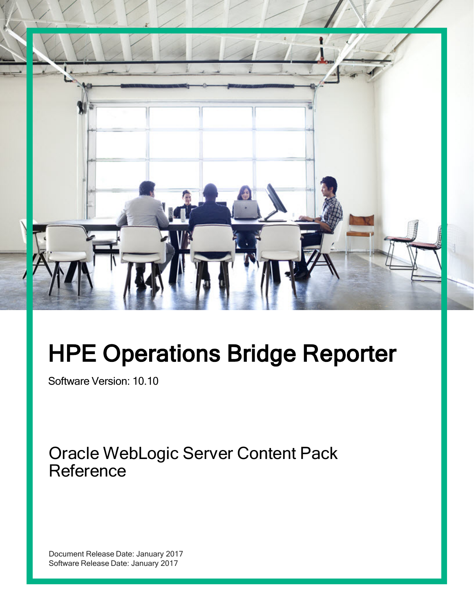

# HPE Operations Bridge Reporter

Software Version: 10.10

Oracle WebLogic Server Content Pack Reference

Document Release Date: January 2017 Software Release Date: January 2017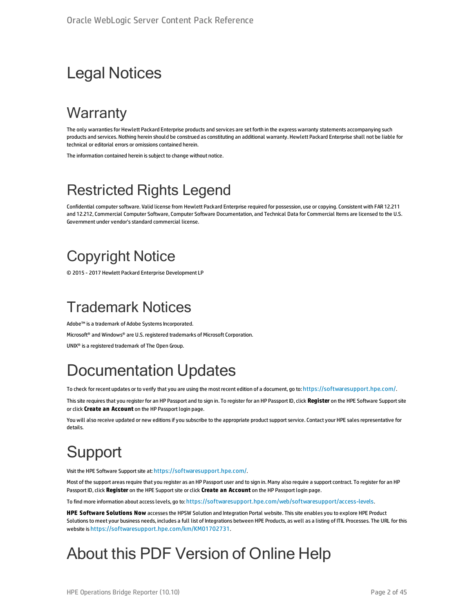### Legal Notices

### **Warranty**

The only warranties for Hewlett Packard Enterprise products and services are set forth in the express warranty statements accompanying such products and services. Nothing herein should be construed as constituting an additional warranty. Hewlett Packard Enterprise shall not be liable for technical or editorial errors or omissions contained herein.

The information contained herein is subject to change without notice.

### Restricted Rights Legend

Confidential computer software. Valid license from Hewlett Packard Enterprise required for possession, use or copying. Consistent with FAR 12.211 and 12.212, Commercial Computer Software, Computer Software Documentation, and Technical Data for Commercial Items are licensed to the U.S. Government under vendor's standard commercial license.

### Copyright Notice

© 2015 - 2017 Hewlett Packard Enterprise Development LP

### Trademark Notices

Adobe™ is a trademark of Adobe Systems Incorporated. Microsoft® and Windows® are U.S. registered trademarks of Microsoft Corporation. UNIX® is a registered trademark of The Open Group.

### Documentation Updates

To check for recent updates or to verify that you are using the most recent edition of a document, go to: <https://softwaresupport.hpe.com/>.

This site requires that you register for an HP Passport and to sign in. To register for an HP Passport ID, click **Register** on the HPE Software Support site or click **Create an Account** on the HP Passport login page.

You will also receive updated or new editions if you subscribe to the appropriate product support service. Contact your HPE sales representative for details.

### **Support**

Visit the HPE Software Support site at: <https://softwaresupport.hpe.com/>.

Most of the support areas require that you register as an HP Passport user and to sign in. Many also require a support contract. To register for an HP Passport ID, click **Register** on the HPE Support site or click **Create an Account** on the HP Passport login page.

To find more information about access levels, go to: <https://softwaresupport.hpe.com/web/softwaresupport/access-levels>.

**HPE Software Solutions Now** accesses the HPSW Solution and Integration Portal website. This site enables you to explore HPE Product Solutions to meet your business needs, includes a full list of Integrations between HPE Products, as well as a listing of ITIL Processes. The URL for this website is <https://softwaresupport.hpe.com/km/KM01702731>.

### About this PDF Version of Online Help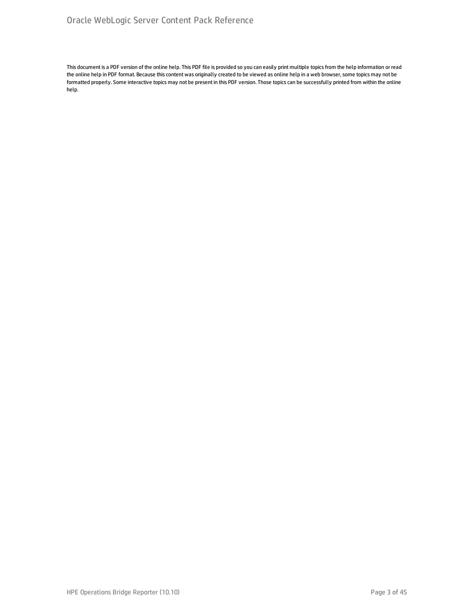This documentis a PDF version of the online help. This PDF file is provided so you can easily print multiple topics from the help information orread the online help in PDF format. Because this content was originally created to be viewed as online help in a web browser, some topics may not be formatted properly. Some interactive topics may not be present in this PDF version. Those topics can be successfully printed from within the online help.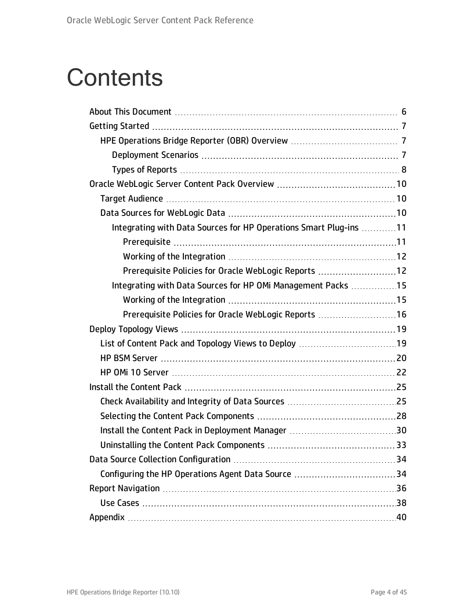# **Contents**

| Integrating with Data Sources for HP Operations Smart Plug-ins 11 |  |
|-------------------------------------------------------------------|--|
|                                                                   |  |
|                                                                   |  |
| Prerequisite Policies for Oracle WebLogic Reports 12              |  |
| Integrating with Data Sources for HP OMi Management Packs 15      |  |
|                                                                   |  |
| Prerequisite Policies for Oracle WebLogic Reports 16              |  |
|                                                                   |  |
|                                                                   |  |
|                                                                   |  |
|                                                                   |  |
|                                                                   |  |
|                                                                   |  |
|                                                                   |  |
|                                                                   |  |
|                                                                   |  |
|                                                                   |  |
|                                                                   |  |
|                                                                   |  |
|                                                                   |  |
|                                                                   |  |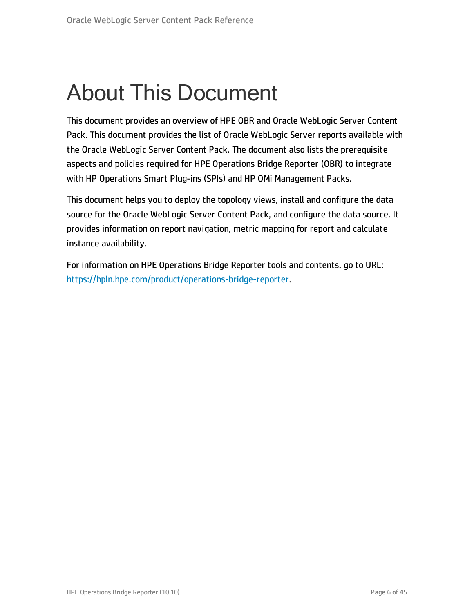## <span id="page-5-0"></span>About This Document

This document provides an overview of HPE OBR and Oracle WebLogic Server Content Pack. This document provides the list of Oracle WebLogic Server reports available with the Oracle WebLogic Server Content Pack. The document also lists the prerequisite aspects and policies required for HPE Operations Bridge Reporter (OBR) to integrate with HP Operations Smart Plug-ins (SPIs) and HP OMi Management Packs.

This document helps you to deploy the topology views, install and configure the data source for the Oracle WebLogic Server Content Pack, and configure the data source. It provides information on report navigation, metric mapping for report and calculate instance availability.

For information on HPE Operations Bridge Reporter tools and contents, go to URL: [https://hpln.hpe.com/product/operations-bridge-reporter.](https://hpln.hpe.com/product/operations-bridge-reporter)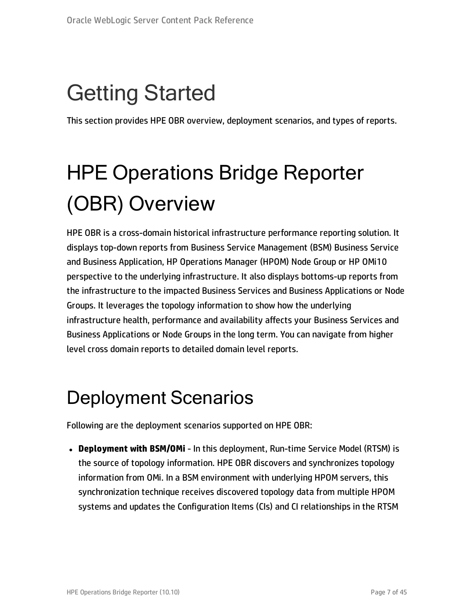# <span id="page-6-0"></span>Getting Started

<span id="page-6-1"></span>This section provides HPE OBR overview, deployment scenarios, and types of reports.

# HPE Operations Bridge Reporter (OBR) Overview

HPE OBR is a cross-domain historical infrastructure performance reporting solution. It displays top-down reports from Business Service Management (BSM) Business Service and Business Application, HP Operations Manager (HPOM) Node Group or HP OMi10 perspective to the underlying infrastructure. It also displays bottoms-up reports from the infrastructure to the impacted Business Services and Business Applications or Node Groups. It leverages the topology information to show how the underlying infrastructure health, performance and availability affects your Business Services and Business Applications or Node Groups in the long term. You can navigate from higher level cross domain reports to detailed domain level reports.

### <span id="page-6-2"></span>Deployment Scenarios

Following are the deployment scenarios supported on HPE OBR:

**Deployment with BSM/OMi** - In this deployment, Run-time Service Model (RTSM) is the source of topology information. HPE OBR discovers and synchronizes topology information from OMi. In a BSM environment with underlying HPOM servers, this synchronization technique receives discovered topology data from multiple HPOM systems and updates the Configuration Items (CIs) and CI relationships in the RTSM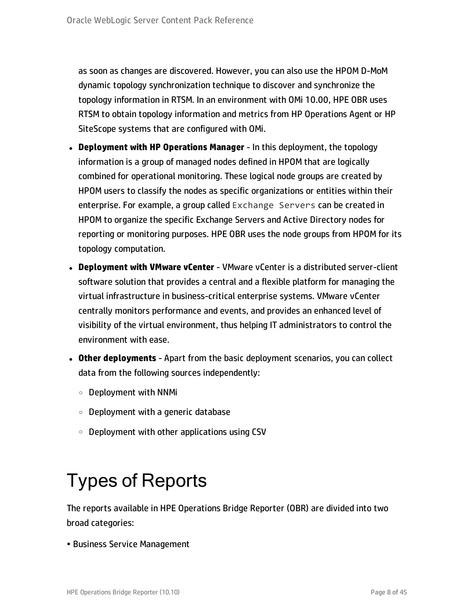as soon as changes are discovered. However, you can also use the HPOM D-MoM dynamic topology synchronization technique to discover and synchronize the topology information in RTSM. In an environment with OMi 10.00, HPE OBR uses RTSM to obtain topology information and metrics from HP Operations Agent or HP SiteScope systems that are configured with OMi.

- <sup>l</sup> **Deployment with HP Operations Manager** In this deployment, the topology information is a group of managed nodes defined in HPOM that are logically combined for operational monitoring. These logical node groups are created by HPOM users to classify the nodes as specific organizations or entities within their enterprise. For example, a group called Exchange Servers can be created in HPOM to organize the specific Exchange Servers and Active Directory nodes for reporting or monitoring purposes. HPE OBR uses the node groups from HPOM for its topology computation.
- **.** Deployment with VMware vCenter VMware vCenter is a distributed server-client software solution that provides a central and a flexible platform for managing the virtual infrastructure in business-critical enterprise systems. VMware vCenter centrally monitors performance and events, and provides an enhanced level of visibility of the virtual environment, thus helping IT administrators to control the environment with ease.
- **Other deployments** Apart from the basic deployment scenarios, you can collect data from the following sources independently:
	- <sup>o</sup> Deployment with NNMi
	- <sup>o</sup> Deployment with a generic database
	- <sup>o</sup> Deployment with other applications using CSV

### <span id="page-7-0"></span>Types of Reports

The reports available in HPE Operations Bridge Reporter (OBR) are divided into two broad categories:

• Business Service Management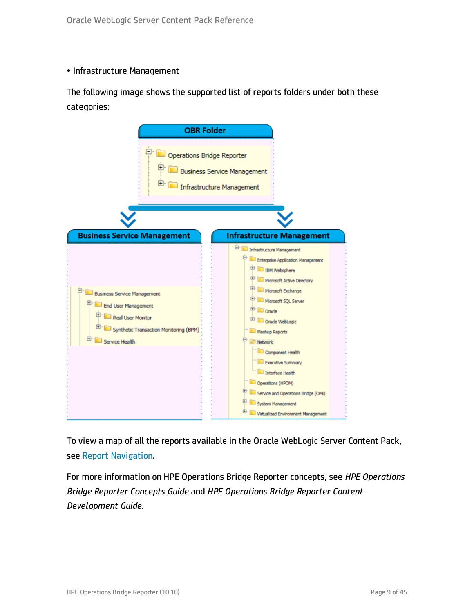• Infrastructure Management

The following image shows the supported list of reports folders under both these categories:



To view a map of all the reports available in the Oracle WebLogic Server Content Pack, see Report [Navigation](#page-35-0).

For more information on HPE Operations Bridge Reporter concepts, see *HPE Operations Bridge Reporter Concepts Guide* and *HPE Operations Bridge Reporter Content Development Guide*.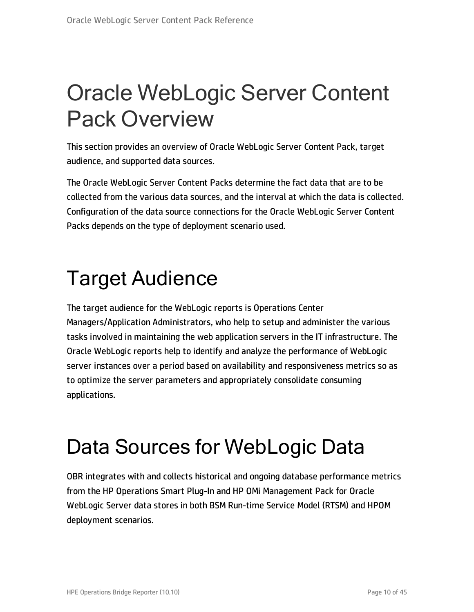# <span id="page-9-0"></span>Oracle WebLogic Server Content Pack Overview

This section provides an overview of Oracle WebLogic Server Content Pack, target audience, and supported data sources.

The Oracle WebLogic Server Content Packs determine the fact data that are to be collected from the various data sources, and the interval at which the data is collected. Configuration of the data source connections for the Oracle WebLogic Server Content Packs depends on the type of deployment scenario used.

## <span id="page-9-1"></span>Target Audience

The target audience for the WebLogic reports is Operations Center Managers/Application Administrators, who help to setup and administer the various tasks involved in maintaining the web application servers in the IT infrastructure. The Oracle WebLogic reports help to identify and analyze the performance of WebLogic server instances over a period based on availability and responsiveness metrics so as to optimize the server parameters and appropriately consolidate consuming applications.

## <span id="page-9-2"></span>Data Sources for WebLogic Data

OBR integrates with and collects historical and ongoing database performance metrics from the HP Operations Smart Plug-In and HP OMi Management Pack for Oracle WebLogic Server data stores in both BSM Run-time Service Model (RTSM) and HPOM deployment scenarios.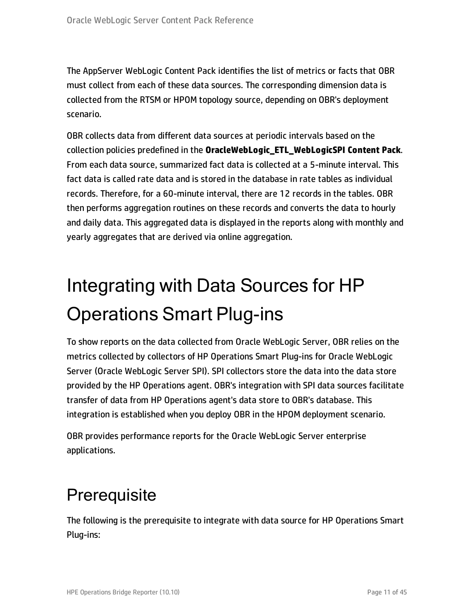The AppServer WebLogic Content Pack identifies the list of metrics or facts that OBR must collect from each of these data sources. The corresponding dimension data is collected from the RTSM or HPOM topology source, depending on OBR's deployment scenario.

OBR collects data from different data sources at periodic intervals based on the collection policies predefined in the **OracleWebLogic\_ETL\_WebLogicSPI Content Pack**. From each data source, summarized fact data is collected at a 5-minute interval. This fact data is called rate data and is stored in the database in rate tables as individual records. Therefore, for a 60-minute interval, there are 12 records in the tables. OBR then performs aggregation routines on these records and converts the data to hourly and daily data. This aggregated data is displayed in the reports along with monthly and yearly aggregates that are derived via online aggregation.

## <span id="page-10-0"></span>Integrating with Data Sources for HP Operations Smart Plug-ins

To show reports on the data collected from Oracle WebLogic Server, OBR relies on the metrics collected by collectors of HP Operations Smart Plug-ins for Oracle WebLogic Server (Oracle WebLogic Server SPI). SPI collectors store the data into the data store provided by the HP Operations agent. OBR's integration with SPI data sources facilitate transfer of data from HP Operations agent's data store to OBR's database. This integration is established when you deploy OBR in the HPOM deployment scenario.

<span id="page-10-1"></span>OBR provides performance reports for the Oracle WebLogic Server enterprise applications.

### **Prerequisite**

The following is the prerequisite to integrate with data source for HP Operations Smart Plug-ins: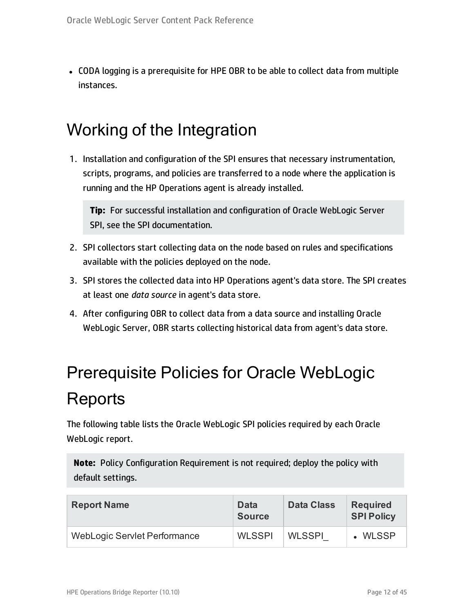<span id="page-11-0"></span>• CODA logging is a prerequisite for HPE OBR to be able to collect data from multiple instances.

### Working of the Integration

1. Installation and configuration of the SPI ensures that necessary instrumentation, scripts, programs, and policies are transferred to a node where the application is running and the HP Operations agent is already installed.

**Tip:** For successful installation and configuration of Oracle WebLogic Server SPI, see the SPI documentation.

- 2. SPI collectors start collecting data on the node based on rules and specifications available with the policies deployed on the node.
- 3. SPI stores the collected data into HP Operations agent's data store. The SPI creates at least one *data source* in agent's data store.
- <span id="page-11-1"></span>4. After configuring OBR to collect data from a data source and installing Oracle WebLogic Server, OBR starts collecting historical data from agent's data store.

### Prerequisite Policies for Oracle WebLogic **Reports**

The following table lists the Oracle WebLogic SPI policies required by each Oracle WebLogic report.

**Note:** Policy Configuration Requirement is not required; deploy the policy with default settings.

| <b>Report Name</b>                  | <b>Data</b><br><b>Source</b> | <b>Data Class</b> | <b>Required</b><br><b>SPI Policy</b> |
|-------------------------------------|------------------------------|-------------------|--------------------------------------|
| <b>WebLogic Servlet Performance</b> | <b>WLSSPI</b>                | <b>WLSSPI</b>     | • WLSSP                              |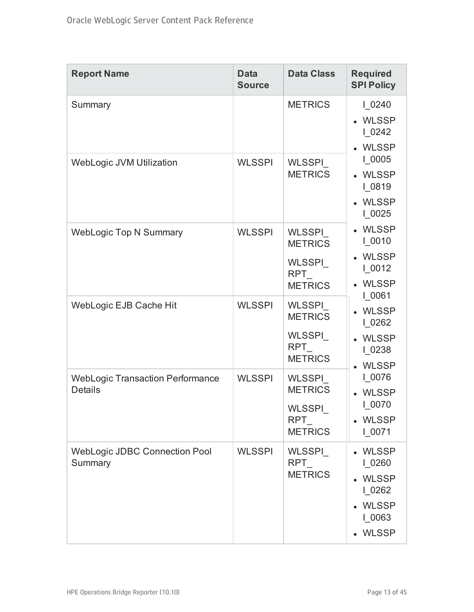| <b>Report Name</b>                                        | <b>Data</b><br><b>Source</b> | <b>Data Class</b>                                                         | <b>Required</b><br><b>SPI Policy</b>                                                    |
|-----------------------------------------------------------|------------------------------|---------------------------------------------------------------------------|-----------------------------------------------------------------------------------------|
| Summary                                                   |                              | <b>METRICS</b>                                                            | 10240<br><b>WLSSP</b><br>10242<br><b>WLSSP</b>                                          |
| WebLogic JVM Utilization                                  | <b>WLSSPI</b>                | <b>WLSSPI</b><br><b>METRICS</b>                                           | 10005<br><b>WLSSP</b><br>10819<br><b>WLSSP</b><br>10025                                 |
| <b>WebLogic Top N Summary</b>                             | <b>WLSSPI</b>                | <b>WLSSPI</b><br><b>METRICS</b><br><b>WLSSPI</b><br>RPT<br><b>METRICS</b> | <b>WLSSP</b><br>10010<br><b>WLSSP</b><br>10012<br><b>WLSSP</b>                          |
| WebLogic EJB Cache Hit                                    | <b>WLSSPI</b>                | <b>WLSSPI</b><br><b>METRICS</b><br>WLSSPI<br>RPT<br><b>METRICS</b>        | 10061<br><b>WLSSP</b><br>10262<br><b>WLSSP</b><br>$L_{0238}$<br><b>WLSSP</b>            |
| <b>WebLogic Transaction Performance</b><br><b>Details</b> | <b>WLSSPI</b>                | <b>WLSSPI</b><br><b>METRICS</b><br><b>WLSSPI</b><br>RPT<br><b>METRICS</b> | 10076<br><b>WLSSP</b><br>10070<br><b>WLSSP</b><br>10071                                 |
| <b>WebLogic JDBC Connection Pool</b><br>Summary           | <b>WLSSPI</b>                | WLSSPI<br>RPT<br><b>METRICS</b>                                           | <b>WLSSP</b><br>10260<br><b>WLSSP</b><br>10262<br><b>WLSSP</b><br>10063<br><b>WLSSP</b> |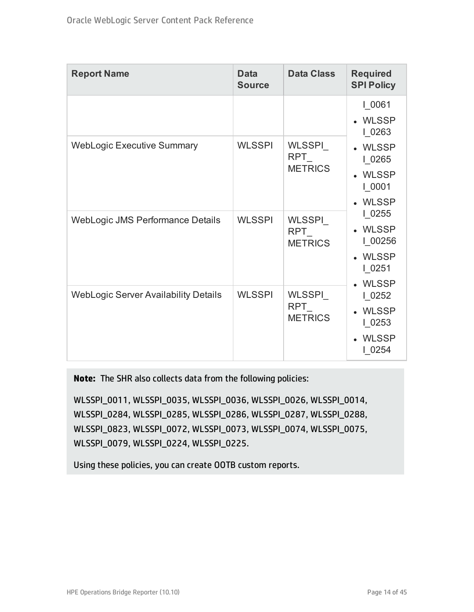| <b>Report Name</b>                          | <b>Data</b><br><b>Source</b> | <b>Data Class</b>                      | <b>Required</b><br><b>SPI Policy</b>                                             |
|---------------------------------------------|------------------------------|----------------------------------------|----------------------------------------------------------------------------------|
|                                             |                              |                                        | <b>I_0061</b><br><b>WLSSP</b><br>$L_{0263}$                                      |
| <b>WebLogic Executive Summary</b>           | <b>WLSSPI</b>                | WLSSPI<br>RPT<br><b>METRICS</b>        | <b>WLSSP</b><br>10265<br><b>WLSSP</b><br>$1$ <sub>0001</sub><br><b>WLSSP</b>     |
| <b>WebLogic JMS Performance Details</b>     | <b>WLSSPI</b>                | <b>WLSSPI</b><br>RPT<br><b>METRICS</b> | 10255<br><b>WLSSP</b><br><b>I_00256</b><br><b>WLSSP</b><br>10251<br><b>WLSSP</b> |
| <b>WebLogic Server Availability Details</b> | <b>WLSSPI</b>                | WLSSPI<br>RPT<br><b>METRICS</b>        | $1$ 0252<br><b>WLSSP</b><br>$L_{0253}$<br><b>WLSSP</b><br>10254                  |

**Note:** The SHR also collects data from the following policies:

WLSSPI\_0011, WLSSPI\_0035, WLSSPI\_0036, WLSSPI\_0026, WLSSPI\_0014, WLSSPI\_0284, WLSSPI\_0285, WLSSPI\_0286, WLSSPI\_0287, WLSSPI\_0288, WLSSPI\_0823, WLSSPI\_0072, WLSSPI\_0073, WLSSPI\_0074, WLSSPI\_0075, WLSSPI\_0079, WLSSPI\_0224, WLSSPI\_0225.

Using these policies, you can create OOTB custom reports.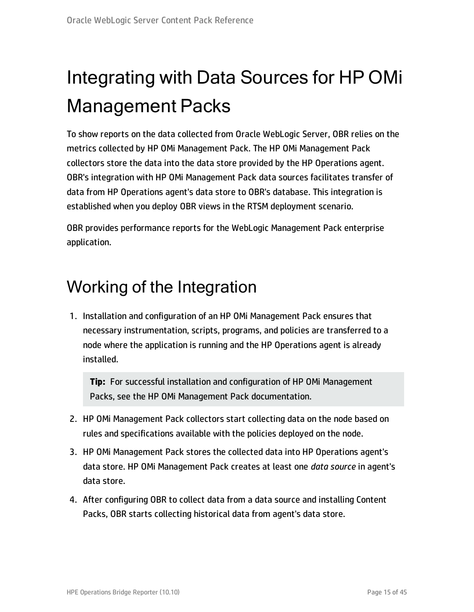## <span id="page-14-0"></span>Integrating with Data Sources for HP OMi Management Packs

To show reports on the data collected from Oracle WebLogic Server, OBR relies on the metrics collected by HP OMi Management Pack. The HP OMi Management Pack collectors store the data into the data store provided by the HP Operations agent. OBR's integration with HP OMi Management Pack data sources facilitates transfer of data from HP Operations agent's data store to OBR's database. This integration is established when you deploy OBR views in the RTSM deployment scenario.

<span id="page-14-1"></span>OBR provides performance reports for the WebLogic Management Pack enterprise application.

### Working of the Integration

1. Installation and configuration of an HP OMi Management Pack ensures that necessary instrumentation, scripts, programs, and policies are transferred to a node where the application is running and the HP Operations agent is already installed.

**Tip:** For successful installation and configuration of HP OMi Management Packs, see the HP OMi Management Pack documentation.

- 2. HP OMi Management Pack collectors start collecting data on the node based on rules and specifications available with the policies deployed on the node.
- 3. HP OMi Management Pack stores the collected data into HP Operations agent's data store. HP OMi Management Pack creates at least one *data source* in agent's data store.
- 4. After configuring OBR to collect data from a data source and installing Content Packs, OBR starts collecting historical data from agent's data store.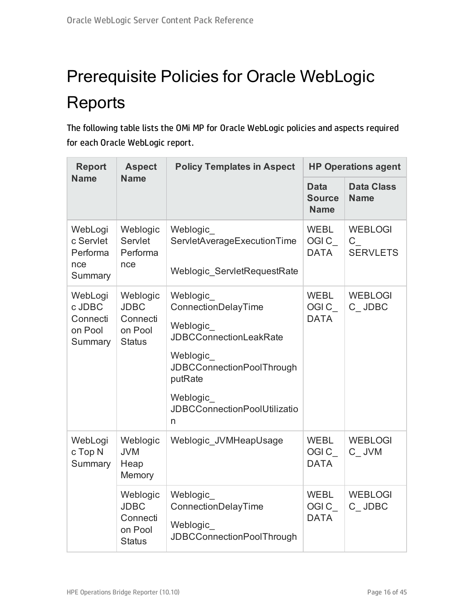## <span id="page-15-0"></span>Prerequisite Policies for Oracle WebLogic **Reports**

The following table lists the OMi MP for Oracle WebLogic policies and aspects required for each Oracle WebLogic report.

| <b>Report</b><br><b>Aspect</b>                      |                                                                 | <b>Policy Templates in Aspect</b>                                                                                                                                                        | <b>HP Operations agent</b>                  |                                                   |  |
|-----------------------------------------------------|-----------------------------------------------------------------|------------------------------------------------------------------------------------------------------------------------------------------------------------------------------------------|---------------------------------------------|---------------------------------------------------|--|
| <b>Name</b>                                         | <b>Name</b>                                                     |                                                                                                                                                                                          | <b>Data</b><br><b>Source</b><br><b>Name</b> | <b>Data Class</b><br><b>Name</b>                  |  |
| WebLogi<br>c Servlet<br>Performa<br>nce<br>Summary  | Weblogic<br>Servlet<br>Performa<br>nce                          | Weblogic<br>ServletAverageExecutionTime<br>Weblogic ServletRequestRate                                                                                                                   | <b>WEBL</b><br>OGI C<br><b>DATA</b>         | <b>WEBLOGI</b><br>$\mathsf{C}$<br><b>SERVLETS</b> |  |
| WebLogi<br>c JDBC<br>Connecti<br>on Pool<br>Summary | Weblogic<br><b>JDBC</b><br>Connecti<br>on Pool<br><b>Status</b> | Weblogic<br>ConnectionDelayTime<br>Weblogic<br><b>JDBCConnectionLeakRate</b><br>Weblogic<br>JDBCConnectionPoolThrough<br>putRate<br>Weblogic<br><b>JDBCConnectionPoolUtilizatio</b><br>n | <b>WEBL</b><br>OGI C<br><b>DATA</b>         | <b>WEBLOGI</b><br>C_JDBC                          |  |
| WebLogi<br>c Top N<br>Summary                       | Weblogic<br><b>JVM</b><br>Heap<br>Memory                        | Weblogic JVMHeapUsage                                                                                                                                                                    | <b>WEBL</b><br>OGI C<br><b>DATA</b>         | <b>WEBLOGI</b><br>C JVM                           |  |
|                                                     | Weblogic<br><b>JDBC</b><br>Connecti<br>on Pool<br><b>Status</b> | Weblogic<br>ConnectionDelayTime<br>Weblogic<br>JDBCConnectionPoolThrough                                                                                                                 | <b>WEBL</b><br>OGI C<br><b>DATA</b>         | <b>WEBLOGI</b><br>C_JDBC                          |  |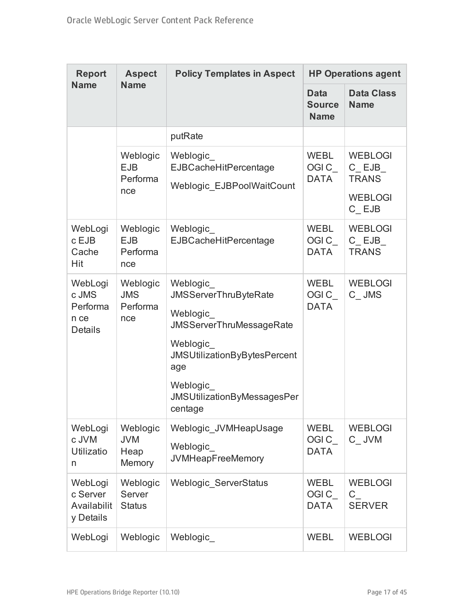| <b>Report</b>                                          | <b>Aspect</b>                             | <b>Policy Templates in Aspect</b>                                                                                                                                                                              |                                             | <b>HP Operations agent</b>                                         |  |  |
|--------------------------------------------------------|-------------------------------------------|----------------------------------------------------------------------------------------------------------------------------------------------------------------------------------------------------------------|---------------------------------------------|--------------------------------------------------------------------|--|--|
| <b>Name</b>                                            | <b>Name</b>                               |                                                                                                                                                                                                                | <b>Data</b><br><b>Source</b><br><b>Name</b> | <b>Data Class</b><br><b>Name</b>                                   |  |  |
|                                                        |                                           | putRate                                                                                                                                                                                                        |                                             |                                                                    |  |  |
|                                                        | Weblogic<br><b>EJB</b><br>Performa<br>nce | Weblogic<br><b>EJBCacheHitPercentage</b><br>Weblogic EJBPoolWaitCount                                                                                                                                          | <b>WEBL</b><br>OGI C<br><b>DATA</b>         | <b>WEBLOGI</b><br>C EJB<br><b>TRANS</b><br><b>WEBLOGI</b><br>C EJB |  |  |
| WebLogi<br>c EJB<br>Cache<br>Hit                       | Weblogic<br><b>EJB</b><br>Performa<br>nce | Weblogic<br><b>EJBCacheHitPercentage</b>                                                                                                                                                                       | <b>WEBL</b><br>OGI C<br><b>DATA</b>         | <b>WEBLOGI</b><br>C EJB<br><b>TRANS</b>                            |  |  |
| WebLogi<br>c JMS<br>Performa<br>n ce<br><b>Details</b> | Weblogic<br><b>JMS</b><br>Performa<br>nce | Weblogic<br><b>JMSServerThruByteRate</b><br>Weblogic<br><b>JMSServerThruMessageRate</b><br>Weblogic<br><b>JMSUtilizationByBytesPercent</b><br>age<br>Weblogic<br><b>JMSUtilizationByMessagesPer</b><br>centage | <b>WEBL</b><br>OGI C<br><b>DATA</b>         | <b>WEBLOGI</b><br>C JMS                                            |  |  |
| WebLogi<br>c JVM<br>Utilizatio<br>n                    | Weblogic<br><b>JVM</b><br>Heap<br>Memory  | Weblogic_JVMHeapUsage<br>Weblogic<br><b>JVMHeapFreeMemory</b>                                                                                                                                                  | <b>WEBL</b><br>OGI C<br><b>DATA</b>         | <b>WEBLOGI</b><br>C JVM                                            |  |  |
| WebLogi<br>c Server<br>Availabilit<br>y Details        | Weblogic<br>Server<br><b>Status</b>       | Weblogic ServerStatus                                                                                                                                                                                          | <b>WEBL</b><br>OGI C<br><b>DATA</b>         | <b>WEBLOGI</b><br>$\mathsf{C}^-$<br><b>SERVER</b>                  |  |  |
| WebLogi                                                | Weblogic                                  | Weblogic                                                                                                                                                                                                       | <b>WEBL</b>                                 | <b>WEBLOGI</b>                                                     |  |  |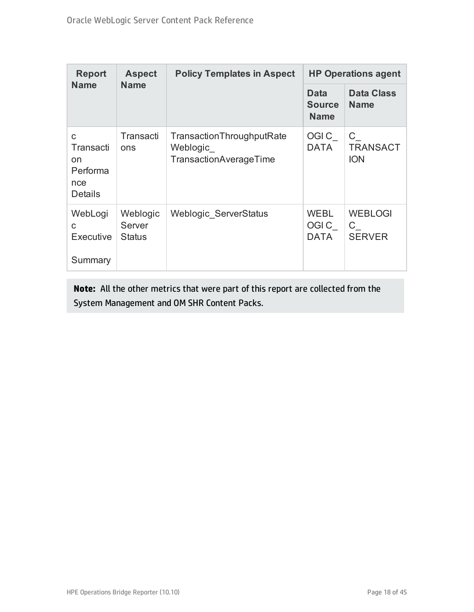| <b>Report</b>                                             | <b>Aspect</b>                       | <b>Policy Templates in Aspect</b>                               | <b>HP Operations agent</b>           |                                                 |  |
|-----------------------------------------------------------|-------------------------------------|-----------------------------------------------------------------|--------------------------------------|-------------------------------------------------|--|
| <b>Name</b>                                               | <b>Name</b>                         |                                                                 | Data<br><b>Source</b><br><b>Name</b> | <b>Data Class</b><br><b>Name</b>                |  |
| C<br>Transacti<br>on<br>Performa<br>nce<br><b>Details</b> | Transacti<br>ons                    | TransactionThroughputRate<br>Weblogic<br>TransactionAverageTime | OGI C<br><b>DATA</b>                 | $\mathsf{C}^-$<br><b>TRANSACT</b><br><b>ION</b> |  |
| WebLogi<br>C<br>Executive<br>Summary                      | Weblogic<br>Server<br><b>Status</b> | Weblogic ServerStatus                                           | <b>WEBL</b><br>OGI C<br><b>DATA</b>  | <b>WEBLOGI</b><br>C<br><b>SERVER</b>            |  |

**Note:** All the other metrics that were part of this report are collected from the System Management and OM SHR Content Packs.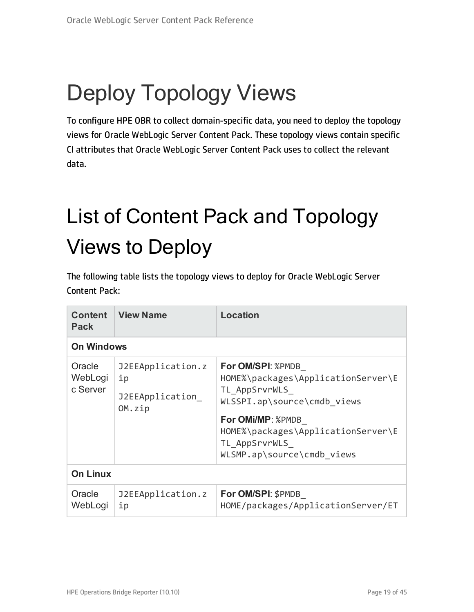# <span id="page-18-0"></span>Deploy Topology Views

<span id="page-18-1"></span>To configure HPE OBR to collect domain-specific data, you need to deploy the topology views for Oracle WebLogic Server Content Pack. These topology views contain specific CI attributes that Oracle WebLogic Server Content Pack uses to collect the relevant data.

# <span id="page-18-2"></span>List of Content Pack and Topology Views to Deploy

The following table lists the topology views to deploy for Oracle WebLogic Server Content Pack:

| <b>Content</b><br><b>Pack</b> | <b>View Name</b>                                     | <b>Location</b>                                                                                                                                                                                                   |  |  |  |
|-------------------------------|------------------------------------------------------|-------------------------------------------------------------------------------------------------------------------------------------------------------------------------------------------------------------------|--|--|--|
| <b>On Windows</b>             |                                                      |                                                                                                                                                                                                                   |  |  |  |
| Oracle<br>WebLogi<br>c Server | J2EEApplication.z<br>ip<br>J2EEApplication<br>OM.zip | For OM/SPI: %PMDB<br>HOME%\packages\ApplicationServer\E<br>TL AppSrvrWLS<br>WLSSPI.ap\source\cmdb views<br>For OMi/MP: %PMDB<br>HOME%\packages\ApplicationServer\E<br>TL AppSrvrWLS<br>WLSMP.ap\source\cmdb views |  |  |  |
| <b>On Linux</b>               |                                                      |                                                                                                                                                                                                                   |  |  |  |
| Oracle<br>WebLogi             | J2EEApplication.z<br>ip                              | For OM/SPI: \$PMDB<br>HOME/packages/ApplicationServer/ET                                                                                                                                                          |  |  |  |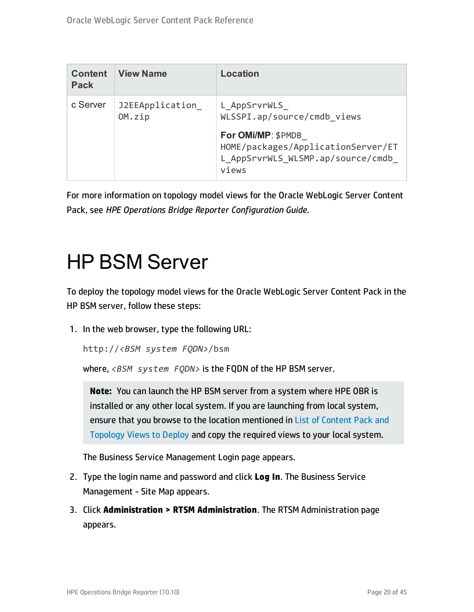| <b>Content</b><br><b>Pack</b> | <b>View Name</b>          | Location                                                                                               |
|-------------------------------|---------------------------|--------------------------------------------------------------------------------------------------------|
| c Server                      | J2EEApplication<br>OM.zip | L AppSrvrWLS<br>WLSSPI.ap/source/cmdb_views                                                            |
|                               |                           | For OMi/MP: \$PMDB<br>HOME/packages/ApplicationServer/ET<br>L AppSrvrWLS WLSMP.ap/source/cmdb<br>views |

<span id="page-19-0"></span>For more information on topology model views for the Oracle WebLogic Server Content Pack, see *HPE Operations Bridge Reporter Configuration Guide*.

### HP BSM Server

To deploy the topology model views for the Oracle WebLogic Server Content Pack in the HP BSM server, follow these steps:

1. In the web browser, type the following URL:

http://*<BSM system FQDN>*/bsm

where, *<BSM system FQDN>* is the FQDN of the HP BSM server.

**Note:** You can launch the HP BSM server from a system where HPE OBR is installed or any other local system. If you are launching from local system, ensure that you browse to the location mentioned in List of [Content](#page-18-2) Pack and [Topology](#page-18-2) Views to Deploy and copy the required views to your local system.

The Business Service Management Login page appears.

- 2. Type the login name and password and click **Log In**. The Business Service Management - Site Map appears.
- 3. Click **Administration > RTSM Administration**. The RTSM Administration page appears.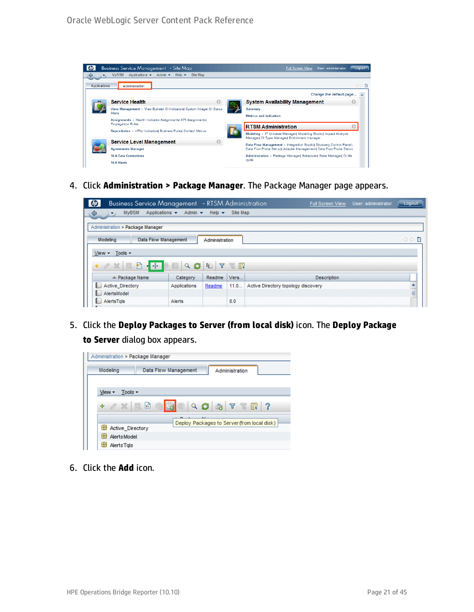

4. Click **Administration > Package Manager**. The Package Manager page appears.



5. Click the **Deploy Packages to Server (from local disk)** icon. The **Deploy Package to Server** dialog box appears.



6. Click the **Add** icon.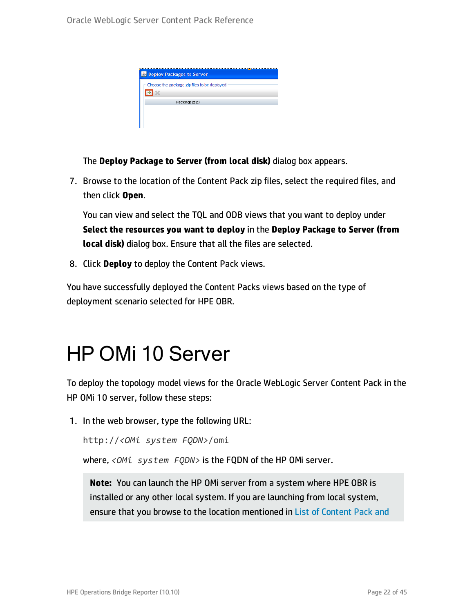| <b>&amp; Deploy Packages to Server</b>      |  |
|---------------------------------------------|--|
| Choose the package zip files to be deployed |  |
| Package (zip)                               |  |
|                                             |  |
|                                             |  |

The **Deploy Package to Server (from local disk)** dialog box appears.

7. Browse to the location of the Content Pack zip files, select the required files, and then click **Open**.

You can view and select the TQL and ODB views that you want to deploy under **Select the resources you want to deploy** in the **Deploy Package to Server (from local disk)** dialog box. Ensure that all the files are selected.

8. Click **Deploy** to deploy the Content Pack views.

<span id="page-21-0"></span>You have successfully deployed the Content Packs views based on the type of deployment scenario selected for HPE OBR.

## HP OMi 10 Server

To deploy the topology model views for the Oracle WebLogic Server Content Pack in the HP OMi 10 server, follow these steps:

1. In the web browser, type the following URL:

http://*<OMi system FQDN>*/omi

where, *<OMi system FQDN>* is the FQDN of the HP OMi server.

**Note:** You can launch the HP OMi server from a system where HPE OBR is installed or any other local system. If you are launching from local system, ensure that you browse to the location mentioned in List of [Content](#page-18-2) Pack and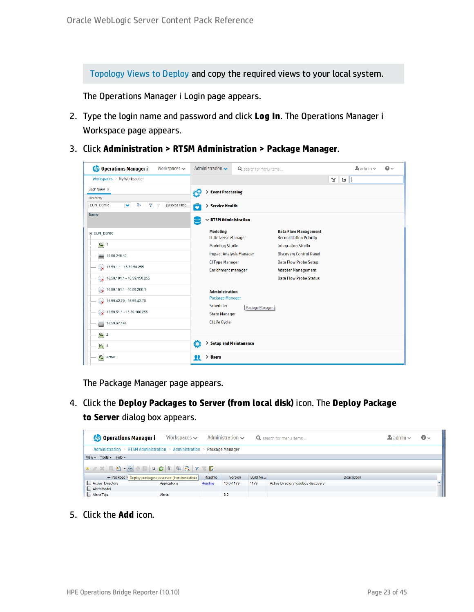[Topology](#page-18-2) Views to Deploy and copy the required views to your local system.

The Operations Manager i Login page appears.

- 2. Type the login name and password and click **Log In**. The Operations Manager i Workspace page appears.
- 3. Click **Administration > RTSM Administration > Package Manager**.



The Package Manager page appears.

4. Click the **Deploy Packages to Server (from local disk)** icon. The **Deploy Package to Server** dialog box appears.

| <b><i>OD</i></b> Operations Manager i                                   | Workspaces $\sim$ |        | Administration $\sim$ |          | Q search for menu items             | $\blacktriangle$ r admin $\blacktriangleright$ | $\odot$ |
|-------------------------------------------------------------------------|-------------------|--------|-----------------------|----------|-------------------------------------|------------------------------------------------|---------|
| Administration > RTSM Administration > Administration > Package Manager |                   |        |                       |          |                                     |                                                |         |
| View $\arrow$ Tools $\rightarrow$ Help $\rightarrow$                    |                   |        |                       |          |                                     |                                                |         |
|                                                                         |                   |        |                       |          |                                     |                                                |         |
| ≐ Package N Deploy packages to server (from local disk)                 |                   | Readme | <b>Version</b>        | Build Nu | <b>Description</b>                  |                                                |         |
| Active_Directory                                                        | Applications      | Readme | 13.0-1179             | 1179     | Active Directory topology discovery |                                                |         |
| AlertsModel                                                             |                   |        |                       |          |                                     |                                                |         |
| AlertsTgls                                                              | Alerts            |        | 8.0                   |          |                                     |                                                |         |

5. Click the **Add** icon.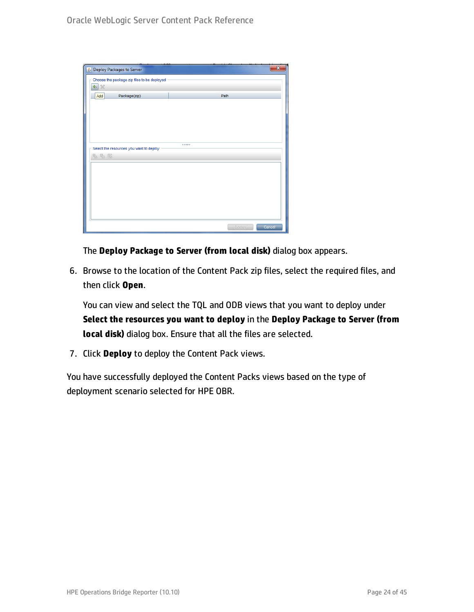| Deploy Packages to Server                   |      | $\overline{\mathbf{x}}$ |  |  |  |  |  |
|---------------------------------------------|------|-------------------------|--|--|--|--|--|
| Choose the package zip files to be deployed |      |                         |  |  |  |  |  |
| 电<br>$\%$                                   |      |                         |  |  |  |  |  |
| Package(zip)<br>Add                         | Path |                         |  |  |  |  |  |
|                                             |      |                         |  |  |  |  |  |
|                                             |      |                         |  |  |  |  |  |
|                                             |      |                         |  |  |  |  |  |
|                                             |      |                         |  |  |  |  |  |
|                                             |      |                         |  |  |  |  |  |
| <br>Select the resources you want to deploy |      |                         |  |  |  |  |  |
| 名马路                                         |      |                         |  |  |  |  |  |
|                                             |      |                         |  |  |  |  |  |
|                                             |      |                         |  |  |  |  |  |
|                                             |      |                         |  |  |  |  |  |
|                                             |      |                         |  |  |  |  |  |
|                                             |      |                         |  |  |  |  |  |
|                                             |      |                         |  |  |  |  |  |
|                                             |      |                         |  |  |  |  |  |
|                                             |      | Deploy<br>Cancel        |  |  |  |  |  |

The **Deploy Package to Server (from local disk)** dialog box appears.

6. Browse to the location of the Content Pack zip files, select the required files, and then click **Open**.

You can view and select the TQL and ODB views that you want to deploy under **Select the resources you want to deploy** in the **Deploy Package to Server (from local disk)** dialog box. Ensure that all the files are selected.

7. Click **Deploy** to deploy the Content Pack views.

You have successfully deployed the Content Packs views based on the type of deployment scenario selected for HPE OBR.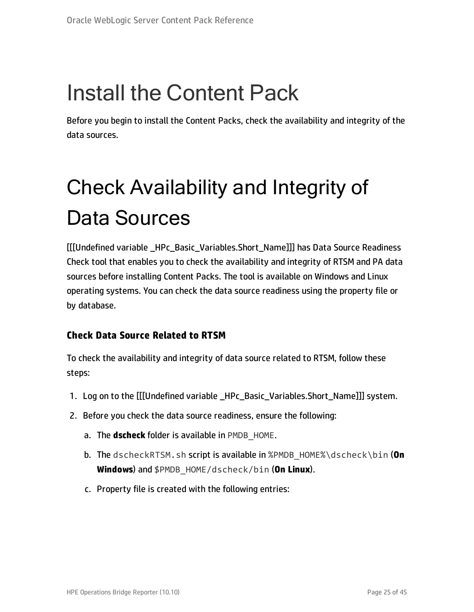## <span id="page-24-0"></span>Install the Content Pack

<span id="page-24-1"></span>Before you begin to install the Content Packs, check the availability and integrity of the data sources.

# Check Availability and Integrity of Data Sources

[[[Undefined variable \_HPc\_Basic\_Variables.Short\_Name]]] has Data Source Readiness Check tool that enables you to check the availability and integrity of RTSM and PA data sources before installing Content Packs. The tool is available on Windows and Linux operating systems. You can check the data source readiness using the property file or by database.

#### **Check Data Source Related to RTSM**

To check the availability and integrity of data source related to RTSM, follow these steps:

- 1. Log on to the [[[Undefined variable \_HPc\_Basic\_Variables.Short\_Name]]] system.
- 2. Before you check the data source readiness, ensure the following:
	- a. The **dscheck** folder is available in PMDB\_HOME.
	- b. The dscheckRTSM.sh script is available in %PMDB\_HOME%\dscheck\bin (**On Windows**) and \$PMDB\_HOME/dscheck/bin (**On Linux**).
	- c. Property file is created with the following entries: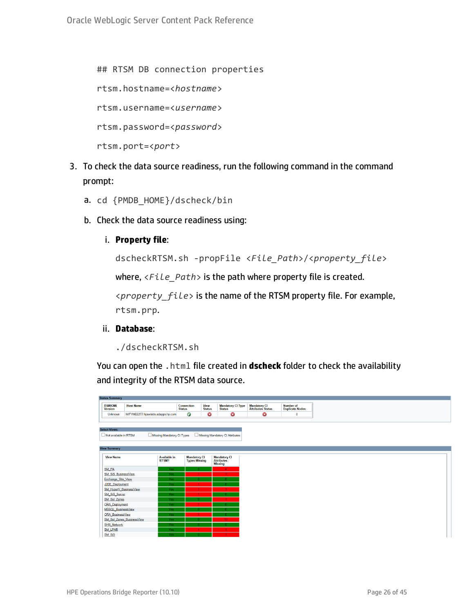## RTSM DB connection properties rtsm.hostname=<*hostname*> rtsm.username=<*username*> rtsm.password=<*password*> rtsm.port=<*port*>

- 3. To check the data source readiness, run the following command in the command prompt:
	- a. cd {PMDB HOME}/dscheck/bin
	- b. Check the data source readiness using:
		- i. **Property file**:

dscheckRTSM.sh -propFile <*File\_Path*>/<*property\_file*>

where, <*File\_Path*> is the path where property file is created.

<*property\_file*> is the name of the RTSM property file. For example, rtsm.prp.

#### ii. **Database**:

./dscheckRTSM.sh

You can open the . html file created in **dscheck** folder to check the availability and integrity of the RTSM data source.

| <b>Status Summary</b>            |                                   |                                    |                              |                                           |                                           |
|----------------------------------|-----------------------------------|------------------------------------|------------------------------|-------------------------------------------|-------------------------------------------|
| <b>BSM/OMi</b><br><b>Version</b> | <b>Host Name</b>                  | <b>Connection</b><br><b>Status</b> | <b>View</b><br><b>Status</b> | <b>Mandatory CI Type</b><br><b>Status</b> | <b>Mandatory CI<br/>Attributes Status</b> |
| <b>Unknown</b>                   | IWFVM02277.hpswlabs.adapps.hp.com | Ø                                  | 0                            | 0                                         | Ø                                         |
|                                  |                                   |                                    |                              |                                           |                                           |
|                                  |                                   |                                    |                              |                                           |                                           |
| <b>Select Views:</b>             |                                   |                                    |                              |                                           |                                           |
| Not available in RTSM            | Missing Mandatory CI Types        |                                    |                              | Missing Mandatory CI Attributes           |                                           |
|                                  |                                   |                                    |                              |                                           |                                           |
| <b>View Summary</b>              |                                   |                                    |                              |                                           |                                           |
|                                  |                                   |                                    |                              |                                           |                                           |
| <b>View Name</b>                 | <b>Available in</b>               | <b>Mandatory CI</b>                |                              | <b>Mandatory CI</b>                       |                                           |
|                                  | RTSM?                             | <b>Types Missing</b>               |                              | <b>Attributes</b><br><b>Missing</b>       |                                           |
| SM_PA                            | Yes:                              |                                    |                              |                                           |                                           |
| SM SiS BusinessView              | <b>Yes</b>                        |                                    |                              |                                           |                                           |
| Exchange Site View               | Yes.                              |                                    |                              | Ω.                                        |                                           |
| J2EE_Deployment                  | Yes                               |                                    |                              | n                                         |                                           |
| SM_HyperV_BusinessView           | Yes                               |                                    |                              |                                           |                                           |
| <b>SM_SiS_Server</b>             | Yes                               |                                    |                              |                                           |                                           |
| SM Sol Zones                     | Yes.                              |                                    |                              |                                           |                                           |
| <b>ORA Deployment</b>            | <b>Yes</b>                        |                                    |                              |                                           |                                           |
| MSSQL_BusinessView               | Yes:                              |                                    |                              |                                           |                                           |
| <b>ORA_BusinessView</b>          | Yes.                              |                                    |                              |                                           |                                           |
|                                  | SM_Sol_Zones_BusinessView<br>Yes  |                                    |                              | 12 <sup>°</sup>                           |                                           |
| <b>SHR_Network</b>               | Yes:                              |                                    |                              | $\mathbf{0}$                              |                                           |
| <b>SM LPAR</b>                   | Yes                               |                                    |                              | $\blacktriangleleft$                      |                                           |
| SM SiS                           | Yes:                              |                                    |                              |                                           |                                           |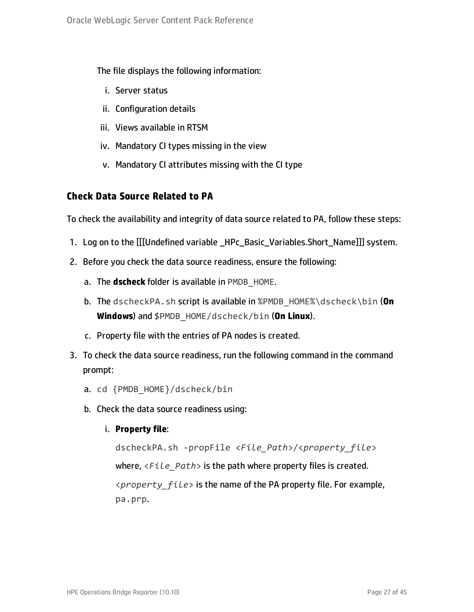The file displays the following information:

- i. Server status
- ii. Configuration details
- iii. Views available in RTSM
- iv. Mandatory CI types missing in the view
- v. Mandatory CI attributes missing with the CI type

#### **Check Data Source Related to PA**

To check the availability and integrity of data source related to PA, follow these steps:

- 1. Log on to the [[[Undefined variable \_HPc\_Basic\_Variables.Short\_Name]]] system.
- 2. Before you check the data source readiness, ensure the following:
	- a. The **dscheck** folder is available in PMDB\_HOME.
	- b. The dscheckPA.sh script is available in %PMDB\_HOME%\dscheck\bin (**On Windows**) and \$PMDB\_HOME/dscheck/bin (**On Linux**).
	- c. Property file with the entries of PA nodes is created.
- 3. To check the data source readiness, run the following command in the command prompt:
	- a. cd {PMDB HOME}/dscheck/bin
	- b. Check the data source readiness using:
		- i. **Property file**:

dscheckPA.sh -propFile <*File\_Path*>/<*property\_file*>

where, <*File\_Path*> is the path where property files is created.

<*property\_file*> is the name of the PA property file. For example, pa.prp.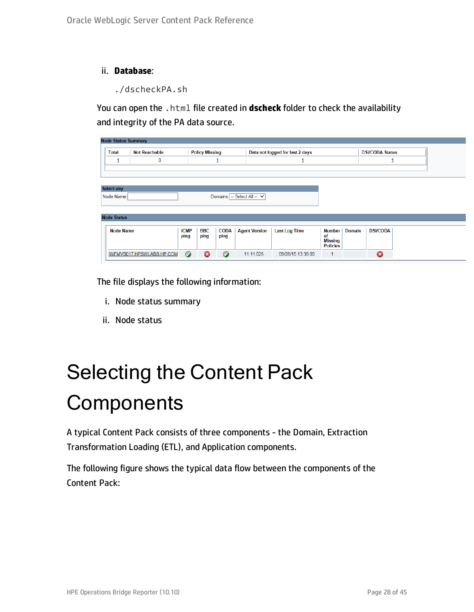#### ii. **Database**:

#### ./dscheckPA.sh

You can open the . html file created in **dscheck** folder to check the availability and integrity of the PA data source.

| <b>Node Status Summary</b>                |                      |                                                          |                    |                     |                        |                      |                     |               |                 |  |
|-------------------------------------------|----------------------|----------------------------------------------------------|--------------------|---------------------|------------------------|----------------------|---------------------|---------------|-----------------|--|
| <b>Total</b>                              | <b>Not Reachable</b> | <b>Policy Missing</b><br>Data not logged for last 2 days |                    |                     | <b>DSi/CODA Status</b> |                      |                     |               |                 |  |
| 1                                         | 0                    |                                                          |                    | ┹                   |                        | ┹                    |                     | ┚             |                 |  |
|                                           |                      |                                                          |                    |                     |                        |                      |                     |               |                 |  |
|                                           |                      |                                                          |                    |                     |                        |                      |                     |               |                 |  |
| <b>Select any</b>                         |                      |                                                          |                    |                     |                        |                      |                     |               |                 |  |
| Domains: -- Select All -- V<br>Node Name: |                      |                                                          |                    |                     |                        |                      |                     |               |                 |  |
|                                           |                      |                                                          |                    |                     |                        |                      |                     |               |                 |  |
| <b>Node Status</b>                        |                      |                                                          |                    |                     |                        |                      |                     |               |                 |  |
|                                           |                      |                                                          |                    |                     |                        |                      |                     |               |                 |  |
| <b>Node Name</b>                          |                      | <b>ICMP</b><br>ping                                      | <b>BBC</b><br>ping | <b>CODA</b><br>ping | <b>Agent Version</b>   | <b>Last Log Time</b> | <b>Number</b><br>of | <b>Domain</b> | <b>DSi/CODA</b> |  |
|                                           |                      |                                                          |                    |                     |                        |                      | Missing             |               |                 |  |
|                                           |                      |                                                          |                    |                     |                        |                      | <b>Policies</b>     |               |                 |  |

The file displays the following information:

- i. Node status summary
- ii. Node status

# <span id="page-27-0"></span>Selecting the Content Pack **Components**

A typical Content Pack consists of three components - the Domain, Extraction Transformation Loading (ETL), and Application components.

The following figure shows the typical data flow between the components of the Content Pack: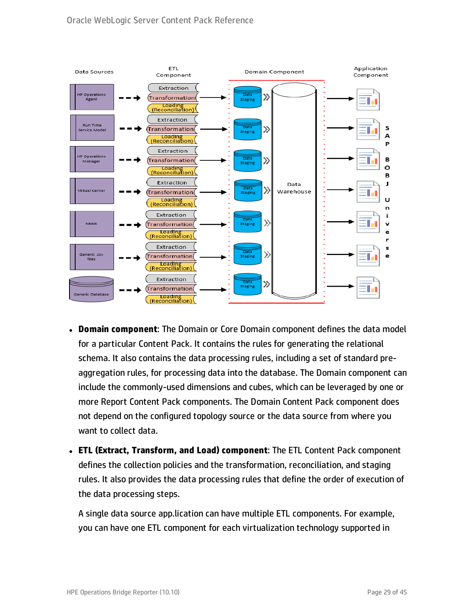

- <sup>l</sup> **Domain component**: The Domain or Core Domain component defines the data model for a particular Content Pack. It contains the rules for generating the relational schema. It also contains the data processing rules, including a set of standard preaggregation rules, for processing data into the database. The Domain component can include the commonly-used dimensions and cubes, which can be leveraged by one or more Report Content Pack components. The Domain Content Pack component does not depend on the configured topology source or the data source from where you want to collect data.
- <sup>l</sup> **ETL (Extract, Transform, and Load) component**: The ETL Content Pack component defines the collection policies and the transformation, reconciliation, and staging rules. It also provides the data processing rules that define the order of execution of the data processing steps.

A single data source app.lication can have multiple ETL components. For example, you can have one ETL component for each virtualization technology supported in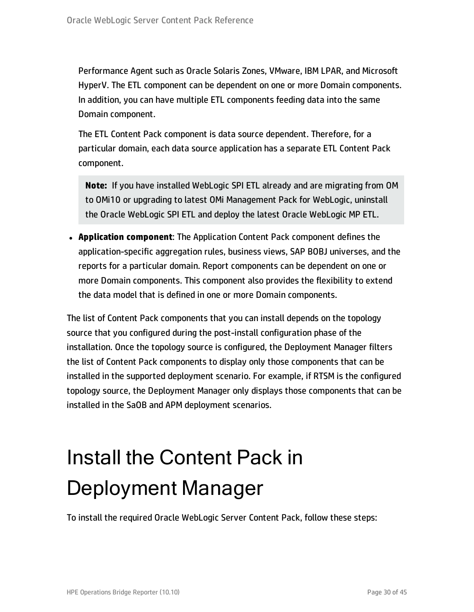Performance Agent such as Oracle Solaris Zones, VMware, IBM LPAR, and Microsoft HyperV. The ETL component can be dependent on one or more Domain components. In addition, you can have multiple ETL components feeding data into the same Domain component.

The ETL Content Pack component is data source dependent. Therefore, for a particular domain, each data source application has a separate ETL Content Pack component.

**Note:** If you have installed WebLogic SPI ETL already and are migrating from OM to OMi10 or upgrading to latest OMi Management Pack for WebLogic, uninstall the Oracle WebLogic SPI ETL and deploy the latest Oracle WebLogic MP ETL.

**• Application component:** The Application Content Pack component defines the application-specific aggregation rules, business views, SAP BOBJ universes, and the reports for a particular domain. Report components can be dependent on one or more Domain components. This component also provides the flexibility to extend the data model that is defined in one or more Domain components.

The list of Content Pack components that you can install depends on the topology source that you configured during the post-install configuration phase of the installation. Once the topology source is configured, the Deployment Manager filters the list of Content Pack components to display only those components that can be installed in the supported deployment scenario. For example, if RTSM is the configured topology source, the Deployment Manager only displays those components that can be installed in the SaOB and APM deployment scenarios.

# <span id="page-29-0"></span>Install the Content Pack in Deployment Manager

To install the required Oracle WebLogic Server Content Pack, follow these steps: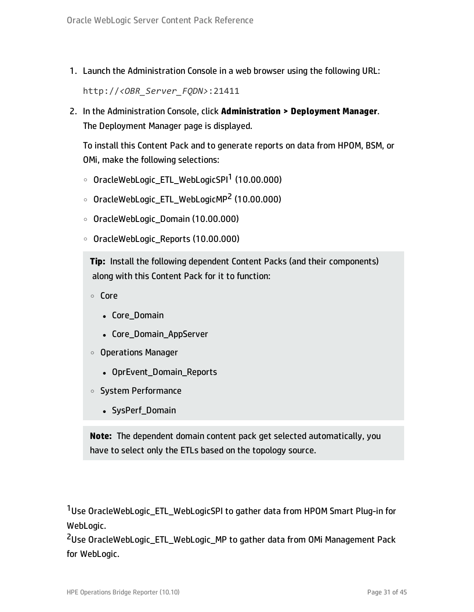1. Launch the Administration Console in a web browser using the following URL:

http://*<OBR\_Server\_FQDN>*:21411

2. In the Administration Console, click **Administration > Deployment Manager**. The Deployment Manager page is displayed.

To install this Content Pack and to generate reports on data from HPOM, BSM, or OMi, make the following selections:

- OracleWebLogic\_ETL\_WebLogicSPI<sup>1</sup> (10.00.000)
- OracleWebLogic\_ETL\_WebLogicMP<sup>2</sup> (10.00.000)
- <sup>o</sup> OracleWebLogic\_Domain (10.00.000)
- <sup>o</sup> OracleWebLogic\_Reports (10.00.000)

**Tip:** Install the following dependent Content Packs (and their components) along with this Content Pack for it to function:

- <sup>o</sup> Core
	- Core\_Domain
	- Core\_Domain\_AppServer
- <sup>o</sup> Operations Manager
	- OprEvent\_Domain\_Reports
- <sup>o</sup> System Performance
	- SysPerf\_Domain

**Note:** The dependent domain content pack get selected automatically, you have to select only the ETLs based on the topology source.

1Use OracleWebLogic\_ETL\_WebLogicSPI to gather data from HPOM Smart Plug-in for WebLogic.

<sup>2</sup>Use OracleWebLogic\_ETL\_WebLogic\_MP to gather data from OMi Management Pack for WebLogic.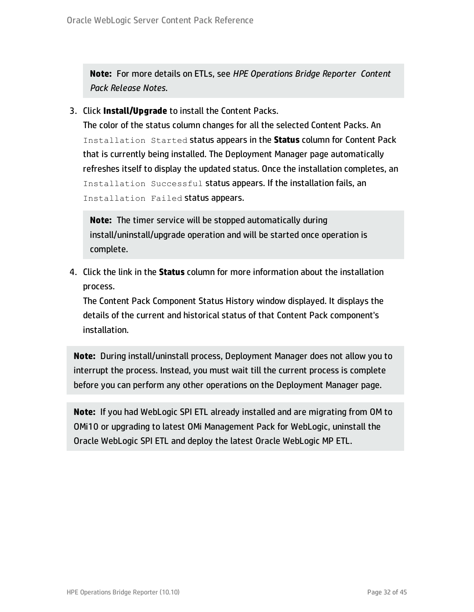**Note:** For more details on ETLs, see *HPE Operations Bridge Reporter Content Pack Release Notes*.

3. Click **Install/Upgrade** to install the Content Packs.

The color of the status column changes for all the selected Content Packs. An Installation Started status appears in the **Status** column for Content Pack that is currently being installed. The Deployment Manager page automatically refreshes itself to display the updated status. Once the installation completes, an Installation Successful status appears. If the installation fails, an Installation Failed status appears.

**Note:** The timer service will be stopped automatically during install/uninstall/upgrade operation and will be started once operation is complete.

4. Click the link in the **Status** column for more information about the installation process.

The Content Pack Component Status History window displayed. It displays the details of the current and historical status of that Content Pack component's installation.

**Note:** During install/uninstall process, Deployment Manager does not allow you to interrupt the process. Instead, you must wait till the current process is complete before you can perform any other operations on the Deployment Manager page.

**Note:** If you had WebLogic SPI ETL already installed and are migrating from OM to OMi10 or upgrading to latest OMi Management Pack for WebLogic, uninstall the Oracle WebLogic SPI ETL and deploy the latest Oracle WebLogic MP ETL.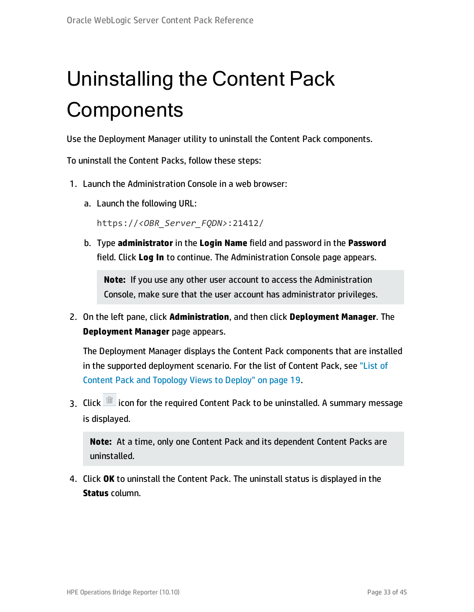# <span id="page-32-0"></span>Uninstalling the Content Pack **Components**

Use the Deployment Manager utility to uninstall the Content Pack components.

To uninstall the Content Packs, follow these steps:

- 1. Launch the Administration Console in a web browser:
	- a. Launch the following URL:

https://*<OBR\_Server\_FQDN>*:21412/

b. Type **administrator** in the **Login Name** field and password in the **Password** field. Click **Log In** to continue. The Administration Console page appears.

**Note:** If you use any other user account to access the Administration Console, make sure that the user account has administrator privileges.

2. On the left pane, click **Administration**, and then click **Deployment Manager**. The **Deployment Manager** page appears.

The Deployment Manager displays the Content Pack components that are installed in the supported deployment scenario. For the list of Content Pack, see ["List](#page-18-1) of Content Pack and [Topology](#page-18-1) Views to Deploy" on page 19.

3. Click icon for the required Content Pack to be uninstalled. A summary message is displayed.

**Note:** At a time, only one Content Pack and its dependent Content Packs are uninstalled.

4. Click **OK** to uninstall the Content Pack. The uninstall status is displayed in the **Status** column.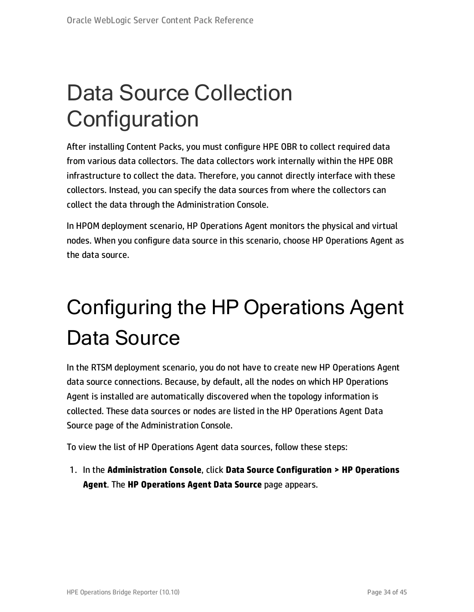# <span id="page-33-0"></span>Data Source Collection **Configuration**

After installing Content Packs, you must configure HPE OBR to collect required data from various data collectors. The data collectors work internally within the HPE OBR infrastructure to collect the data. Therefore, you cannot directly interface with these collectors. Instead, you can specify the data sources from where the collectors can collect the data through the Administration Console.

In HPOM deployment scenario, HP Operations Agent monitors the physical and virtual nodes. When you configure data source in this scenario, choose HP Operations Agent as the data source.

# <span id="page-33-1"></span>Configuring the HP Operations Agent Data Source

In the RTSM deployment scenario, you do not have to create new HP Operations Agent data source connections. Because, by default, all the nodes on which HP Operations Agent is installed are automatically discovered when the topology information is collected. These data sources or nodes are listed in the HP Operations Agent Data Source page of the Administration Console.

To view the list of HP Operations Agent data sources, follow these steps:

1. In the **Administration Console**, click **Data Source Configuration > HP Operations Agent**. The **HP Operations Agent Data Source** page appears.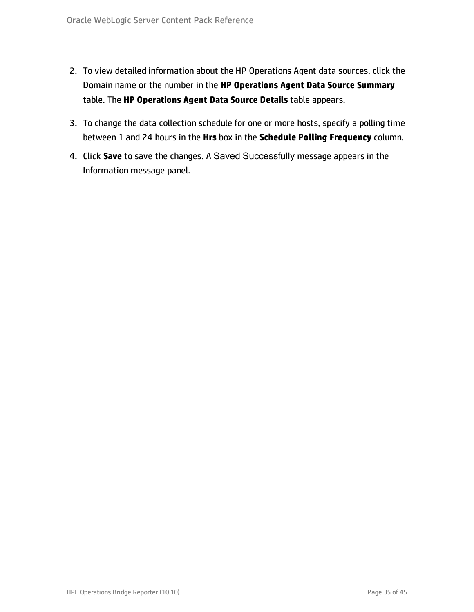- 2. To view detailed information about the HP Operations Agent data sources, click the Domain name or the number in the **HP Operations Agent Data Source Summary** table. The **HP Operations Agent Data Source Details** table appears.
- 3. To change the data collection schedule for one or more hosts, specify a polling time between 1 and 24 hours in the **Hrs** box in the **Schedule Polling Frequency** column.
- 4. Click **Save** to save the changes. A Saved Successfully message appears in the Information message panel.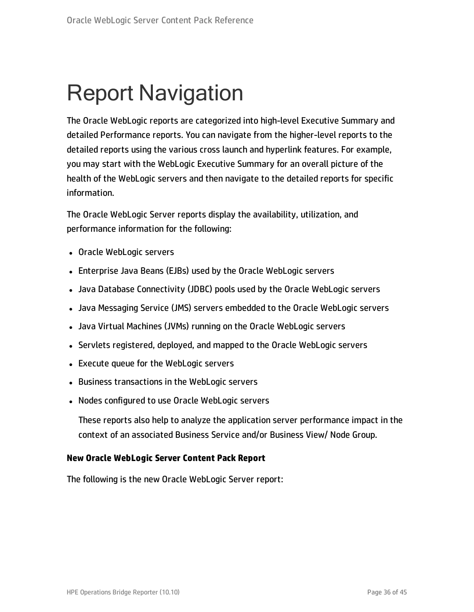## <span id="page-35-0"></span>Report Navigation

The Oracle WebLogic reports are categorized into high-level Executive Summary and detailed Performance reports. You can navigate from the higher-level reports to the detailed reports using the various cross launch and hyperlink features. For example, you may start with the WebLogic Executive Summary for an overall picture of the health of the WebLogic servers and then navigate to the detailed reports for specific information.

The Oracle WebLogic Server reports display the availability, utilization, and performance information for the following:

- Oracle WebLogic servers
- Enterprise Java Beans (EJBs) used by the Oracle WebLogic servers
- Java Database Connectivity (JDBC) pools used by the Oracle WebLogic servers
- Java Messaging Service (JMS) servers embedded to the Oracle WebLogic servers
- Java Virtual Machines (JVMs) running on the Oracle WebLogic servers
- Servlets registered, deployed, and mapped to the Oracle WebLogic servers
- Execute queue for the WebLogic servers
- Business transactions in the WebLogic servers
- Nodes configured to use Oracle WebLogic servers

These reports also help to analyze the application server performance impact in the context of an associated Business Service and/or Business View/ Node Group.

#### **New Oracle WebLogic Server Content Pack Report**

The following is the new Oracle WebLogic Server report: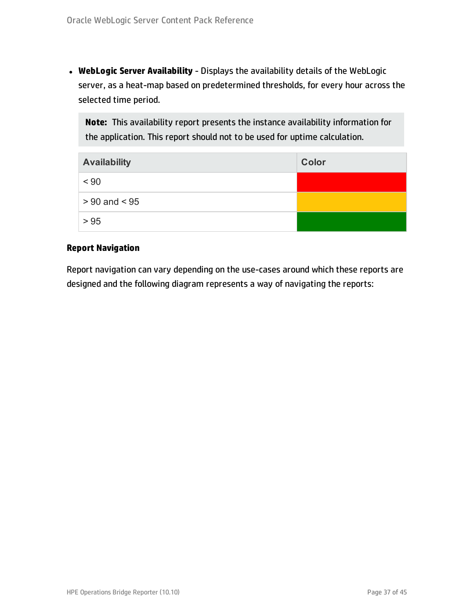<sup>l</sup> **WebLogic Server Availability** - Displays the availability details of the WebLogic server, as a heat-map based on predetermined thresholds, for every hour across the selected time period.

**Note:** This availability report presents the instance availability information for the application. This report should not to be used for uptime calculation.

| <b>Availability</b> | Color |
|---------------------|-------|
| $~<$ 90             |       |
| $> 90$ and $< 95$   |       |
| > 95                |       |

#### **Report Navigation**

Report navigation can vary depending on the use-cases around which these reports are designed and the following diagram represents a way of navigating the reports: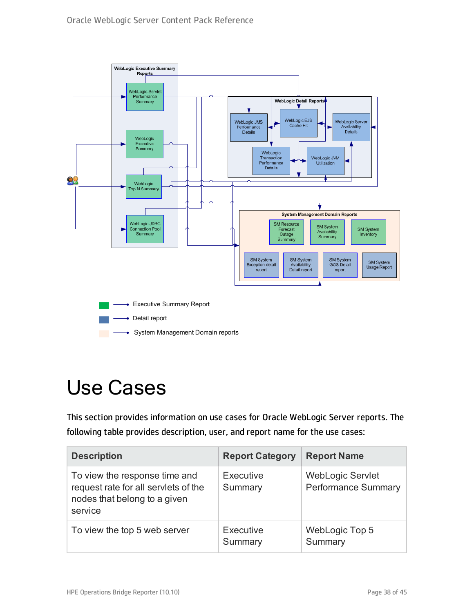

## <span id="page-37-0"></span>Use Cases

This section provides information on use cases for Oracle WebLogic Server reports. The following table provides description, user, and report name for the use cases:

| <b>Description</b>                                                                                               | <b>Report Category</b> | <b>Report Name</b>                                    |
|------------------------------------------------------------------------------------------------------------------|------------------------|-------------------------------------------------------|
| To view the response time and<br>request rate for all servlets of the<br>nodes that belong to a given<br>service | Executive<br>Summary   | <b>WebLogic Servlet</b><br><b>Performance Summary</b> |
| To view the top 5 web server                                                                                     | Executive<br>Summary   | WebLogic Top 5<br>Summary                             |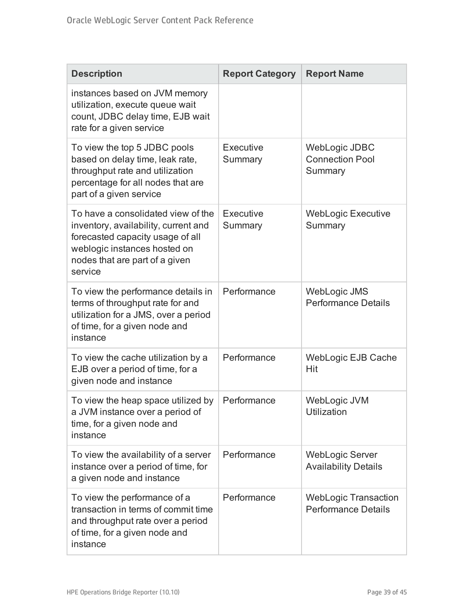| <b>Description</b>                                                                                                                                                                          | <b>Report Category</b> | <b>Report Name</b>                                        |
|---------------------------------------------------------------------------------------------------------------------------------------------------------------------------------------------|------------------------|-----------------------------------------------------------|
| instances based on JVM memory<br>utilization, execute queue wait<br>count, JDBC delay time, EJB wait<br>rate for a given service                                                            |                        |                                                           |
| To view the top 5 JDBC pools<br>based on delay time, leak rate,<br>throughput rate and utilization<br>percentage for all nodes that are<br>part of a given service                          | Executive<br>Summary   | WebLogic JDBC<br><b>Connection Pool</b><br>Summary        |
| To have a consolidated view of the<br>inventory, availability, current and<br>forecasted capacity usage of all<br>weblogic instances hosted on<br>nodes that are part of a given<br>service | Executive<br>Summary   | <b>WebLogic Executive</b><br>Summary                      |
| To view the performance details in<br>terms of throughput rate for and<br>utilization for a JMS, over a period<br>of time, for a given node and<br>instance                                 | Performance            | <b>WebLogic JMS</b><br><b>Performance Details</b>         |
| To view the cache utilization by a<br>EJB over a period of time, for a<br>given node and instance                                                                                           | Performance            | <b>WebLogic EJB Cache</b><br>Hit                          |
| To view the heap space utilized by<br>a JVM instance over a period of<br>time, for a given node and<br>instance                                                                             | Performance            | WebLogic JVM<br><b>Utilization</b>                        |
| To view the availability of a server<br>instance over a period of time, for<br>a given node and instance                                                                                    | Performance            | <b>WebLogic Server</b><br><b>Availability Details</b>     |
| To view the performance of a<br>transaction in terms of commit time<br>and throughput rate over a period<br>of time, for a given node and<br>instance                                       | Performance            | <b>WebLogic Transaction</b><br><b>Performance Details</b> |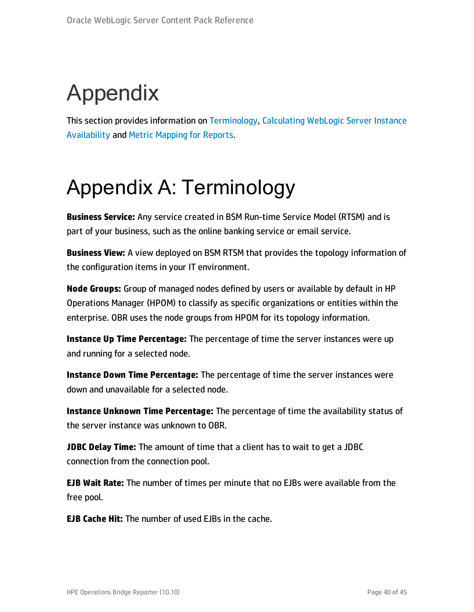# <span id="page-39-0"></span>Appendix

<span id="page-39-1"></span>This section provides information on [Terminology](#page-39-1), [Calculating](#page-40-0) WebLogic Server Instance [Availability](#page-40-0) and Metric [Mapping](#page-41-0) for Reports.

## Appendix A: Terminology

**Business Service:** Any service created in BSM Run-time Service Model (RTSM) and is part of your business, such as the online banking service or email service.

**Business View:** A view deployed on BSM RTSM that provides the topology information of the configuration items in your IT environment.

**Node Groups:** Group of managed nodes defined by users or available by default in HP Operations Manager (HPOM) to classify as specific organizations or entities within the enterprise. OBR uses the node groups from HPOM for its topology information.

**Instance Up Time Percentage:** The percentage of time the server instances were up and running for a selected node.

**Instance Down Time Percentage:** The percentage of time the server instances were down and unavailable for a selected node.

**Instance Unknown Time Percentage:** The percentage of time the availability status of the server instance was unknown to OBR.

**JDBC Delay Time:** The amount of time that a client has to wait to get a JDBC connection from the connection pool.

**EJB Wait Rate:** The number of times per minute that no EJBs were available from the free pool.

**EJB Cache Hit:** The number of used EJBs in the cache.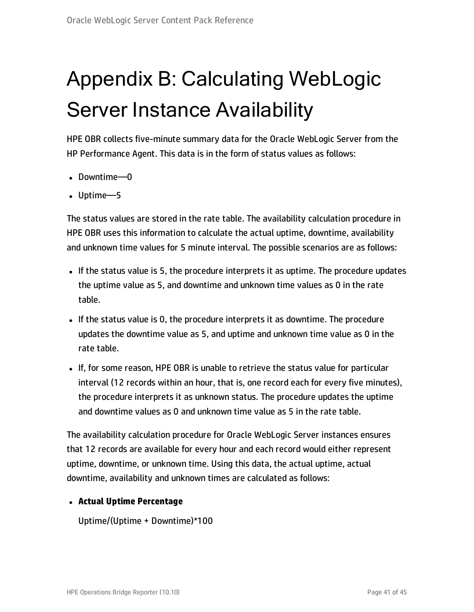# <span id="page-40-0"></span>Appendix B: Calculating WebLogic Server Instance Availability

HPE OBR collects five-minute summary data for the Oracle WebLogic Server from the HP Performance Agent. This data is in the form of status values as follows:

- Downtime—0
- Uptime—5

The status values are stored in the rate table. The availability calculation procedure in HPE OBR uses this information to calculate the actual uptime, downtime, availability and unknown time values for 5 minute interval. The possible scenarios are as follows:

- If the status value is 5, the procedure interprets it as uptime. The procedure updates the uptime value as 5, and downtime and unknown time values as 0 in the rate table.
- If the status value is 0, the procedure interprets it as downtime. The procedure updates the downtime value as 5, and uptime and unknown time value as 0 in the rate table.
- If, for some reason, HPE OBR is unable to retrieve the status value for particular interval (12 records within an hour, that is, one record each for every five minutes), the procedure interprets it as unknown status. The procedure updates the uptime and downtime values as 0 and unknown time value as 5 in the rate table.

The availability calculation procedure for Oracle WebLogic Server instances ensures that 12 records are available for every hour and each record would either represent uptime, downtime, or unknown time. Using this data, the actual uptime, actual downtime, availability and unknown times are calculated as follows:

#### <sup>l</sup> **Actual Uptime Percentage**

Uptime/(Uptime + Downtime)\*100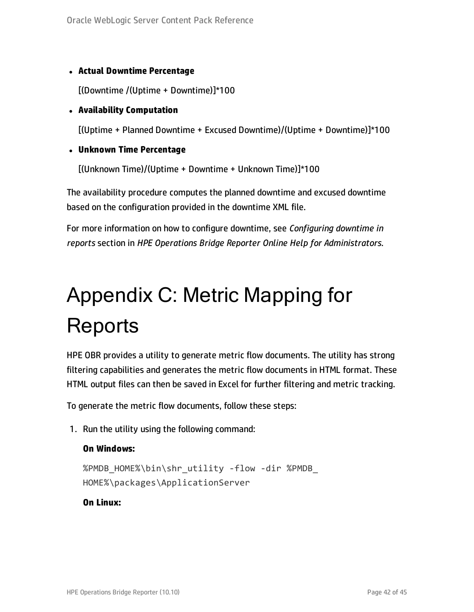#### <sup>l</sup> **Actual Downtime Percentage**

[(Downtime /(Uptime + Downtime)]\*100

#### <sup>l</sup> **Availability Computation**

[(Uptime + Planned Downtime + Excused Downtime)/(Uptime + Downtime)]\*100

#### <sup>l</sup> **Unknown Time Percentage**

[(Unknown Time)/(Uptime + Downtime + Unknown Time)]\*100

The availability procedure computes the planned downtime and excused downtime based on the configuration provided in the downtime XML file.

<span id="page-41-0"></span>For more information on how to configure downtime, see *Configuring downtime in reports* section in *HPE Operations Bridge Reporter Online Help for Administrators*.

# Appendix C: Metric Mapping for Reports

HPE OBR provides a utility to generate metric flow documents. The utility has strong filtering capabilities and generates the metric flow documents in HTML format. These HTML output files can then be saved in Excel for further filtering and metric tracking.

To generate the metric flow documents, follow these steps:

1. Run the utility using the following command:

#### **On Windows:**

```
%PMDB HOME%\bin\shr utility -flow -dir %PMDB
HOME%\packages\ApplicationServer
```
#### **On Linux:**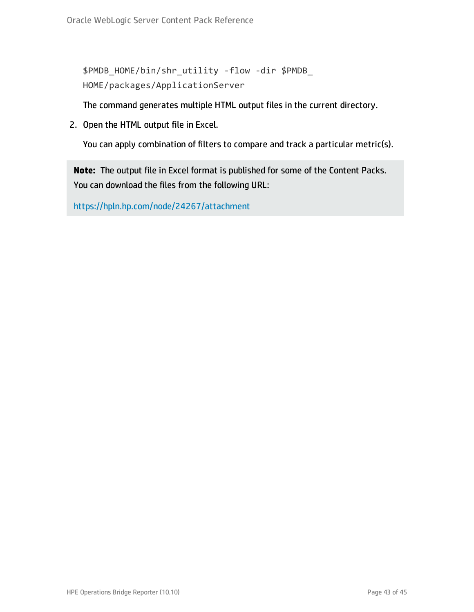\$PMDB\_HOME/bin/shr\_utility -flow -dir \$PMDB\_ HOME/packages/ApplicationServer

The command generates multiple HTML output files in the current directory.

2. Open the HTML output file in Excel.

You can apply combination of filters to compare and track a particular metric(s).

**Note:** The output file in Excel format is published for some of the Content Packs. You can download the files from the following URL:

<https://hpln.hp.com/node/24267/attachment>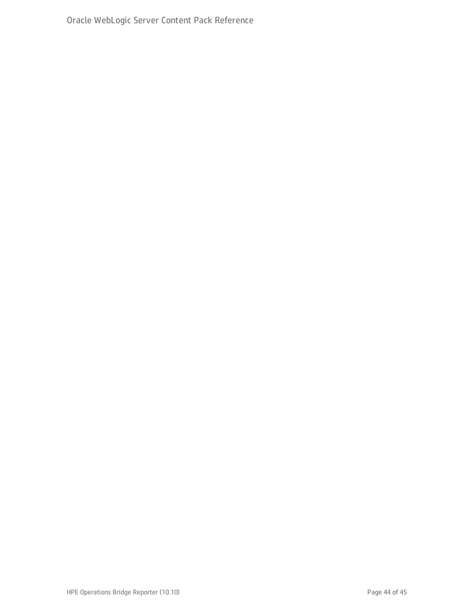Oracle WebLogic Server Content Pack Reference